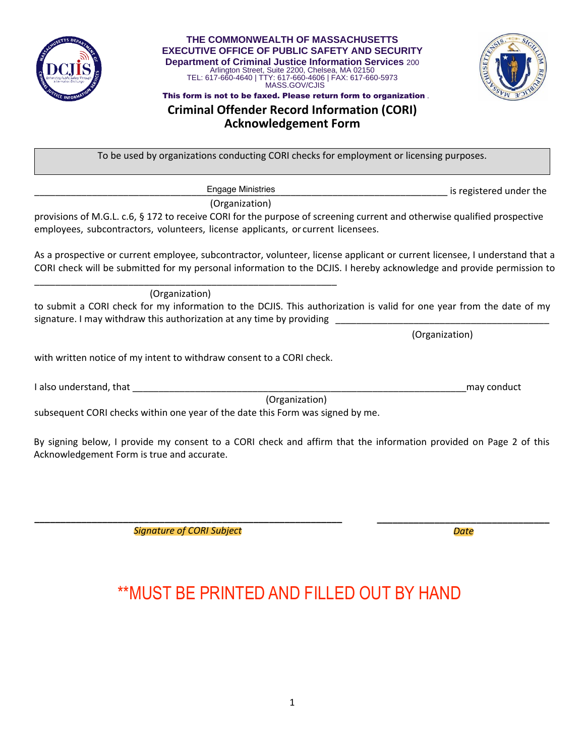

**THE COMMONWEALTH OF MASSACHUSETTS EXECUTIVE OFFICE OF PUBLIC SAFETY AND SECURITY Department of Criminal Justice Information Services** 200 Arlington Street, Suite 2200, Chelsea, MA 02150 TEL: 617-660-4640 | TTY: 617-660-4606 | FAX: 617-660-5973 MASS.GOV/CJIS



This form is not to be faxed. Please return form to organization .

## **Criminal Offender Record Information (CORI) Acknowledgement Form**

To be used by organizations conducting CORI checks for employment or licensing purposes.

is registered under the

(Organization)

Engage Ministries

provisions of M.G.L. c.6, § 172 to receive CORI for the purpose of screening current and otherwise qualified prospective employees, subcontractors, volunteers, license applicants, or current licensees.

As a prospective or current employee, subcontractor, volunteer, license applicant or current licensee, I understand that a CORI check will be submitted for my personal information to the DCJIS. I hereby acknowledge and provide permission to \_\_\_\_\_\_\_\_\_\_\_\_\_\_\_\_\_\_\_\_\_\_\_\_\_\_\_\_\_\_\_\_Engage Ministries \_\_\_\_\_\_\_\_\_\_\_\_\_\_\_\_\_\_\_\_\_\_\_\_\_\_\_\_\_\_

(Organization)

to submit a CORI check for my information to the DCJIS. This authorization is valid for one year from the date of my signature. I may withdraw this authorization at any time by providing \_\_\_\_\_\_\_\_\_\_ Engage Ministries

(Organization)

with written notice of my intent to withdraw consent to a CORI check.

I also understand, that \_\_\_\_\_\_\_\_\_\_\_\_\_\_\_\_\_\_\_\_\_\_\_\_\_\_\_\_\_\_\_\_\_\_\_\_\_\_\_\_\_\_\_\_\_\_\_\_\_\_\_\_\_\_\_\_\_\_\_\_\_\_\_\_may conduct (Organization) Engage Ministries

subsequent CORI checks within one year of the date this Form was signed by me.

By signing below, I provide my consent to a CORI check and affirm that the information provided on Page 2 of this Acknowledgement Form is true and accurate.

**\_\_\_\_\_\_\_\_\_\_\_\_\_\_\_\_\_\_\_\_\_\_\_\_\_\_\_\_\_\_\_\_\_\_\_\_\_\_\_\_\_\_\_\_\_\_\_\_\_\_\_\_\_\_\_\_\_\_\_** *Signature of CORI Subject*

**\_\_\_\_\_\_\_\_\_\_\_\_\_\_\_\_\_\_\_\_\_\_\_\_\_\_\_\_\_\_\_\_\_** *Date*

## \*\*MUST BE PRINTED AND FILLED OUT BY HAND